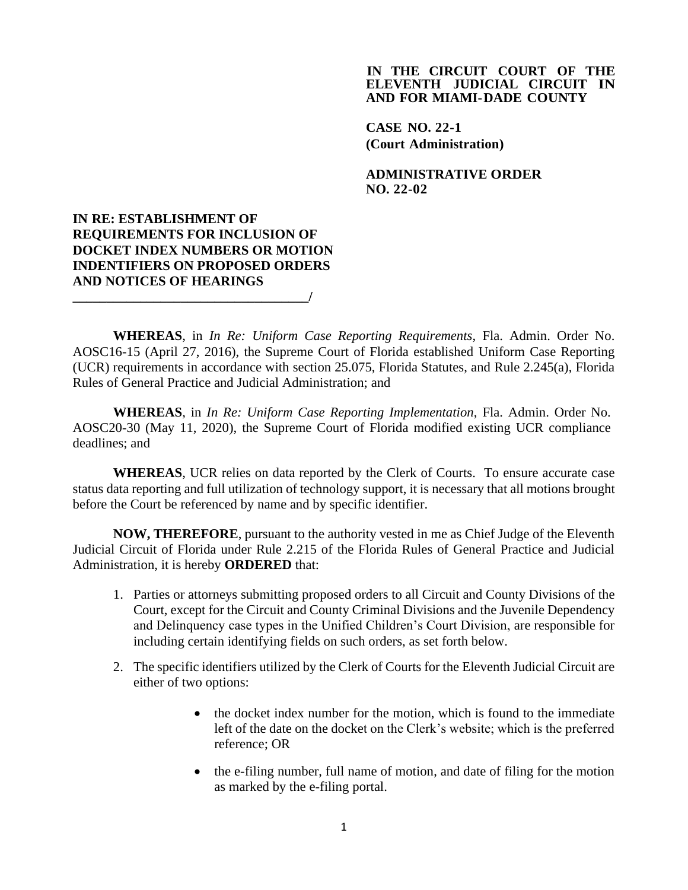## **IN THE CIRCUIT COURT OF THE ELEVENTH JUDICIAL CIRCUIT IN AND FOR MIAMI-DADE COUNTY**

**CASE NO. 22-1 (Court Administration)**

**ADMINISTRATIVE ORDER NO. 22-02**

## **IN RE: ESTABLISHMENT OF REQUIREMENTS FOR INCLUSION OF DOCKET INDEX NUMBERS OR MOTION INDENTIFIERS ON PROPOSED ORDERS AND NOTICES OF HEARINGS**

**\_\_\_\_\_\_\_\_\_\_\_\_\_\_\_\_\_\_\_\_\_\_\_\_\_\_\_\_\_\_\_\_\_\_\_/**

**WHEREAS**, in *In Re: Uniform Case Reporting Requirements*, Fla. Admin. Order No. AOSC16-15 (April 27, 2016), the Supreme Court of Florida established Uniform Case Reporting (UCR) requirements in accordance with section 25.075, Florida Statutes, and Rule 2.245(a), Florida Rules of General Practice and Judicial Administration; and

**WHEREAS**, in *In Re: Uniform Case Reporting Implementation*, Fla. Admin. Order No. AOSC20-30 (May 11, 2020), the Supreme Court of Florida modified existing UCR compliance deadlines; and

**WHEREAS**, UCR relies on data reported by the Clerk of Courts. To ensure accurate case status data reporting and full utilization of technology support, it is necessary that all motions brought before the Court be referenced by name and by specific identifier.

**NOW, THEREFORE**, pursuant to the authority vested in me as Chief Judge of the Eleventh Judicial Circuit of Florida under Rule 2.215 of the Florida Rules of General Practice and Judicial Administration, it is hereby **ORDERED** that:

- 1. Parties or attorneys submitting proposed orders to all Circuit and County Divisions of the Court, except for the Circuit and County Criminal Divisions and the Juvenile Dependency and Delinquency case types in the Unified Children's Court Division, are responsible for including certain identifying fields on such orders, as set forth below.
- 2. The specific identifiers utilized by the Clerk of Courts for the Eleventh Judicial Circuit are either of two options:
	- the docket index number for the motion, which is found to the immediate left of the date on the docket on the Clerk's website; which is the preferred reference; OR
	- the e-filing number, full name of motion, and date of filing for the motion as marked by the e-filing portal.